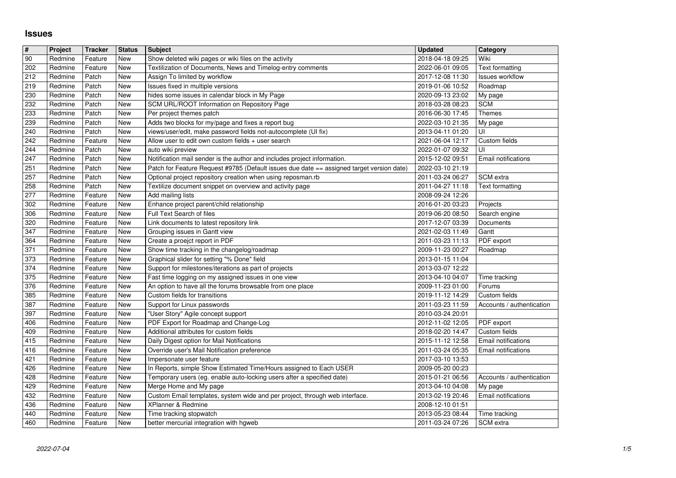## **Issues**

| $\overline{\mathbf{r}}$ | Project            | <b>Tracker</b>     | <b>Status</b> | <b>Subject</b>                                                                                                        | <b>Updated</b>                       | Category                   |
|-------------------------|--------------------|--------------------|---------------|-----------------------------------------------------------------------------------------------------------------------|--------------------------------------|----------------------------|
| 90                      | Redmine            | Feature            | New           | Show deleted wiki pages or wiki files on the activity                                                                 | 2018-04-18 09:25                     | Wiki                       |
| 202                     | Redmine            | Feature            | New           | Textilization of Documents, News and Timelog-entry comments                                                           | 2022-06-01 09:05                     | <b>Text formatting</b>     |
| 212                     | Redmine            | Patch              | New           | Assign To limited by workflow                                                                                         | 2017-12-08 11:30                     | <b>Issues workflow</b>     |
| 219                     | Redmine            | Patch              | New           | Issues fixed in multiple versions                                                                                     | 2019-01-06 10:52                     | Roadmap                    |
| 230                     | Redmine            | Patch              | New           | hides some issues in calendar block in My Page                                                                        | 2020-09-13 23:02                     | My page                    |
| 232                     | Redmine            | Patch              | New           | SCM URL/ROOT Information on Repository Page                                                                           | 2018-03-28 08:23                     | <b>SCM</b>                 |
| 233                     | Redmine            | Patch              | New           | Per project themes patch                                                                                              | 2016-06-30 17:45                     | <b>Themes</b>              |
| 239                     | Redmine            | Patch              | New           | Adds two blocks for my/page and fixes a report bug                                                                    | 2022-03-10 21:35                     | My page                    |
| 240<br>242              | Redmine<br>Redmine | Patch<br>Feature   | New<br>New    | views/user/edit, make password fields not-autocomplete (UI fix)<br>Allow user to edit own custom fields + user search | 2013-04-11 01:20<br>2021-06-04 12:17 | UI<br>Custom fields        |
| 244                     | Redmine            | Patch              | New           | auto wiki preview                                                                                                     | 2022-01-07 09:32                     | UI                         |
| 247                     | Redmine            | Patch              | New           | Notification mail sender is the author and includes project information.                                              | 2015-12-02 09:51                     | Email notifications        |
| 251                     | Redmine            | Patch              | New           | Patch for Feature Request #9785 (Default issues due date == assigned target version date)                             | 2022-03-10 21:19                     |                            |
| 257                     | Redmine            | Patch              | New           | Optional project repository creation when using reposman.rb                                                           | 2011-03-24 06:27                     | SCM extra                  |
| 258                     | Redmine            | Patch              | New           | Textilize document snippet on overview and activity page                                                              | 2011-04-27 11:18                     | Text formatting            |
| 277                     | Redmine            | Feature            | New           | Add mailing lists                                                                                                     | 2008-09-24 12:26                     |                            |
| 302                     | Redmine            | Feature            | New           | Enhance project parent/child relationship                                                                             | 2016-01-20 03:23                     | Projects                   |
| 306                     | Redmine            | Feature            | New           | Full Text Search of files                                                                                             | 2019-06-20 08:50                     | Search engine              |
| 320                     | Redmine            | Feature            | New           | Link documents to latest repository link                                                                              | 2017-12-07 03:39                     | Documents                  |
| 347                     | Redmine            | Feature            | New           | Grouping issues in Gantt view                                                                                         | 2021-02-03 11:49                     | Gantt                      |
| 364                     | Redmine            | Feature            | New           | Create a proejct report in PDF                                                                                        | 2011-03-23 11:13                     | PDF export                 |
| 371<br>373              | Redmine<br>Redmine | Feature<br>Feature | New<br>New    | Show time tracking in the changelog/roadmap<br>Graphical slider for setting "% Done" field                            | 2009-11-23 00:27<br>2013-01-15 11:04 | Roadmap                    |
| 374                     | Redmine            | Feature            | New           | Support for milestones/iterations as part of projects                                                                 | 2013-03-07 12:22                     |                            |
| 375                     | Redmine            | Feature            | New           | Fast time logging on my assigned issues in one view                                                                   | 2013-04-10 04:07                     | Time tracking              |
| 376                     | Redmine            | Feature            | New           | An option to have all the forums browsable from one place                                                             | 2009-11-23 01:00                     | Forums                     |
| 385                     | Redmine            | Feature            | New           | Custom fields for transitions                                                                                         | 2019-11-12 14:29                     | Custom fields              |
| 387                     | Redmine            | Feature            | New           | Support for Linux passwords                                                                                           | 2011-03-23 11:59                     | Accounts / authentication  |
| 397                     | Redmine            | Feature            | New           | "User Story" Agile concept support                                                                                    | 2010-03-24 20:01                     |                            |
| 406                     | Redmine            | Feature            | New           | PDF Export for Roadmap and Change-Log                                                                                 | 2012-11-02 12:05                     | PDF export                 |
| 409                     | Redmine            | Feature            | New           | Additional attributes for custom fields                                                                               | 2018-02-20 14:47                     | Custom fields              |
| 415                     | Redmine            | Feature            | New           | Daily Digest option for Mail Notifications                                                                            | 2015-11-12 12:58                     | Email notifications        |
| 416                     | Redmine            | Feature            | New           | Override user's Mail Notification preference                                                                          | 2011-03-24 05:35                     | Email notifications        |
| 421<br>426              | Redmine<br>Redmine | Feature<br>Feature | New<br>New    | Impersonate user feature<br>In Reports, simple Show Estimated Time/Hours assigned to Each USER                        | 2017-03-10 13:53<br>2009-05-20 00:23 |                            |
| 428                     | Redmine            | Feature            | New           | Temporary users (eg. enable auto-locking users after a specified date)                                                | 2015-01-21 06:56                     | Accounts / authentication  |
| 429                     | Redmine            | Feature            | New           | Merge Home and My page                                                                                                | 2013-04-10 04:08                     | My page                    |
| 432                     | Redmine            | Feature            | New           | Custom Email templates, system wide and per project, through web interface.                                           | 2013-02-19 20:46                     | Email notifications        |
| 436                     | Redmine            | Feature            | New           | XPlanner & Redmine                                                                                                    | 2008-12-10 01:51                     |                            |
| 440<br>460              | Redmine            | Feature<br>Feature | New           | Time tracking stopwatch<br>better mercurial integration with hgweb                                                    | 2013-05-23 08:44<br>2011-03-24 07:26 | Time tracking<br>SCM extra |
|                         |                    |                    |               |                                                                                                                       |                                      |                            |
|                         |                    |                    |               |                                                                                                                       |                                      |                            |
|                         |                    |                    |               |                                                                                                                       |                                      |                            |
|                         |                    |                    |               |                                                                                                                       |                                      |                            |
|                         |                    |                    |               |                                                                                                                       |                                      |                            |
|                         |                    |                    |               |                                                                                                                       |                                      |                            |
|                         |                    |                    |               |                                                                                                                       |                                      |                            |
|                         |                    |                    |               |                                                                                                                       |                                      |                            |
|                         |                    |                    |               |                                                                                                                       |                                      |                            |
|                         |                    |                    |               |                                                                                                                       |                                      |                            |
|                         |                    |                    |               |                                                                                                                       |                                      |                            |
|                         |                    |                    |               |                                                                                                                       |                                      |                            |
|                         |                    |                    |               |                                                                                                                       |                                      |                            |
|                         |                    |                    |               |                                                                                                                       |                                      |                            |
|                         |                    |                    |               |                                                                                                                       |                                      |                            |
|                         |                    |                    |               |                                                                                                                       |                                      |                            |
|                         |                    |                    |               |                                                                                                                       |                                      |                            |
|                         |                    |                    |               |                                                                                                                       |                                      |                            |
|                         |                    |                    |               |                                                                                                                       |                                      |                            |
|                         |                    |                    |               |                                                                                                                       |                                      |                            |
|                         |                    |                    |               |                                                                                                                       |                                      |                            |
|                         |                    |                    |               |                                                                                                                       |                                      |                            |
|                         |                    |                    |               |                                                                                                                       |                                      |                            |
|                         |                    |                    |               |                                                                                                                       |                                      |                            |
|                         |                    |                    |               |                                                                                                                       |                                      |                            |
|                         |                    |                    |               |                                                                                                                       |                                      |                            |
|                         |                    |                    |               |                                                                                                                       |                                      |                            |
|                         |                    |                    |               |                                                                                                                       |                                      |                            |
|                         |                    |                    |               |                                                                                                                       |                                      |                            |
|                         |                    |                    |               |                                                                                                                       |                                      |                            |
|                         |                    |                    |               |                                                                                                                       |                                      |                            |
|                         |                    |                    |               |                                                                                                                       |                                      |                            |
|                         |                    |                    |               |                                                                                                                       |                                      |                            |
|                         |                    |                    |               |                                                                                                                       |                                      |                            |
|                         |                    |                    |               |                                                                                                                       |                                      |                            |
|                         |                    |                    |               |                                                                                                                       |                                      |                            |
|                         |                    |                    |               |                                                                                                                       |                                      |                            |
|                         |                    |                    |               |                                                                                                                       |                                      |                            |
|                         |                    |                    |               |                                                                                                                       |                                      |                            |
|                         |                    |                    |               |                                                                                                                       |                                      |                            |
|                         |                    |                    |               |                                                                                                                       |                                      |                            |
|                         |                    |                    |               |                                                                                                                       |                                      |                            |
|                         |                    |                    |               |                                                                                                                       |                                      |                            |
|                         |                    |                    |               |                                                                                                                       |                                      |                            |
|                         |                    |                    |               |                                                                                                                       |                                      |                            |
|                         |                    |                    |               |                                                                                                                       |                                      |                            |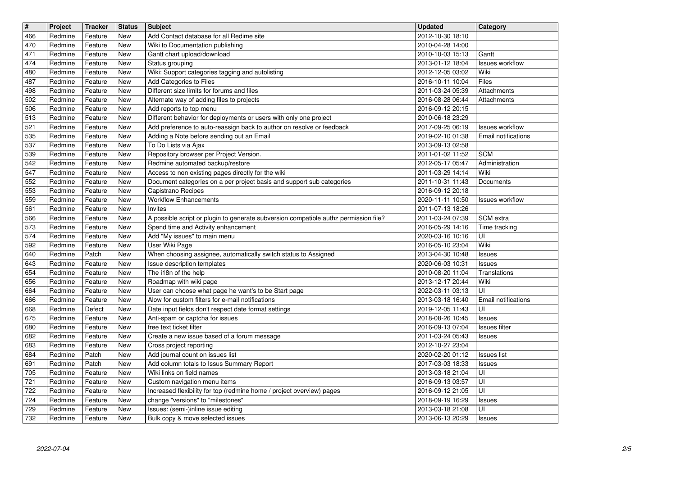| $\sqrt{t}$ | Project | <b>Tracker</b> | <b>Status</b> | <b>Subject</b>                                                                       | <b>Updated</b>   | Category               |
|------------|---------|----------------|---------------|--------------------------------------------------------------------------------------|------------------|------------------------|
| 466        | Redmine | Feature        | New           | Add Contact database for all Redime site                                             | 2012-10-30 18:10 |                        |
| 470        | Redmine | Feature        | New           | Wiki to Documentation publishing                                                     | 2010-04-28 14:00 |                        |
| 471        | Redmine | Feature        | New           | Gantt chart upload/download                                                          | 2010-10-03 15:13 | Gantt                  |
| 474        | Redmine | Feature        | New           | Status grouping                                                                      | 2013-01-12 18:04 | <b>Issues workflow</b> |
| 480        | Redmine | Feature        | New           | Wiki: Support categories tagging and autolisting                                     | 2012-12-05 03:02 | Wiki                   |
| 487        | Redmine | Feature        | New           | Add Categories to Files                                                              | 2016-10-11 10:04 | Files                  |
| 498        | Redmine | Feature        | New           | Different size limits for forums and files                                           | 2011-03-24 05:39 | Attachments            |
| 502        | Redmine | Feature        | New           | Alternate way of adding files to projects                                            | 2016-08-28 06:44 | Attachments            |
| 506        | Redmine | Feature        | New           | Add reports to top menu                                                              | 2016-09-12 20:15 |                        |
| 513        | Redmine | Feature        | New           | Different behavior for deployments or users with only one project                    | 2010-06-18 23:29 |                        |
| 521        | Redmine | Feature        | New           | Add preference to auto-reassign back to author on resolve or feedback                | 2017-09-25 06:19 | <b>Issues workflow</b> |
| 535        | Redmine | Feature        | New           | Adding a Note before sending out an Email                                            | 2019-02-10 01:38 | Email notifications    |
| 537        | Redmine | Feature        | New           | To Do Lists via Ajax                                                                 | 2013-09-13 02:58 |                        |
| 539        | Redmine | Feature        | New           | Repository browser per Project Version.                                              | 2011-01-02 11:52 | <b>SCM</b>             |
| 542        | Redmine | Feature        | New           | Redmine automated backup/restore                                                     | 2012-05-17 05:47 | Administration         |
| 547        | Redmine | Feature        | New           | Access to non existing pages directly for the wiki                                   | 2011-03-29 14:14 | Wiki                   |
| 552        | Redmine | Feature        | New           | Document categories on a per project basis and support sub categories                | 2011-10-31 11:43 | Documents              |
| 553        | Redmine | Feature        | New           | Capistrano Recipes                                                                   | 2016-09-12 20:18 |                        |
| 559        | Redmine | Feature        | New           | <b>Workflow Enhancements</b>                                                         | 2020-11-11 10:50 | <b>Issues workflow</b> |
| 561        | Redmine | Feature        | New           | Invites                                                                              | 2011-07-13 18:26 |                        |
| 566        | Redmine | Feature        | New           | A possible script or plugin to generate subversion compatible authz permission file? | 2011-03-24 07:39 | SCM extra              |
| 573        | Redmine | Feature        | New           | Spend time and Activity enhancement                                                  | 2016-05-29 14:16 | Time tracking          |
| 574        | Redmine | Feature        | New           | Add "My issues" to main menu                                                         | 2020-03-16 10:16 | UI                     |
| 592        | Redmine | Feature        | New           | User Wiki Page                                                                       | 2016-05-10 23:04 | Wiki                   |
| 640        | Redmine | Patch          | New           | When choosing assignee, automatically switch status to Assigned                      | 2013-04-30 10:48 | <b>Issues</b>          |
| 643        | Redmine | Feature        | New           | Issue description templates                                                          | 2020-06-03 10:31 | Issues                 |
| 654        | Redmine | Feature        | New           | The i18n of the help                                                                 | 2010-08-20 11:04 | Translations           |
| 656        | Redmine | Feature        | New           | Roadmap with wiki page                                                               | 2013-12-17 20:44 | Wiki                   |
| 664        | Redmine | Feature        | New           | User can choose what page he want's to be Start page                                 | 2022-03-11 03:13 | UI                     |
| 666        | Redmine | Feature        | New           | Alow for custom filters for e-mail notifications                                     | 2013-03-18 16:40 | Email notifications    |
| 668        | Redmine | Defect         | New           | Date input fields don't respect date format settings                                 | 2019-12-05 11:43 | UI                     |
| 675        | Redmine | Feature        | New           | Anti-spam or captcha for issues                                                      | 2018-08-26 10:45 | <b>Issues</b>          |
| 680        | Redmine | Feature        | New           | free text ticket filter                                                              | 2016-09-13 07:04 | Issues filter          |
| 682        | Redmine | Feature        | New           | Create a new issue based of a forum message                                          | 2011-03-24 05:43 | <b>Issues</b>          |
| 683        | Redmine | Feature        | New           | Cross project reporting                                                              | 2012-10-27 23:04 |                        |
| 684        | Redmine | Patch          | New           | Add journal count on issues list                                                     | 2020-02-20 01:12 | <b>Issues list</b>     |
| 691        | Redmine | Patch          | New           | Add column totals to Issus Summary Report                                            | 2017-03-03 18:33 | <b>Issues</b>          |
| 705        | Redmine | Feature        | New           | Wiki links on field names                                                            | 2013-03-18 21:04 | UI                     |
| 721        | Redmine | Feature        | New           | Custom navigation menu items                                                         | 2016-09-13 03:57 | Ιūι                    |
| 722        | Redmine | Feature        | New           | Increased flexibility for top (redmine home / project overview) pages                | 2016-09-12 21:05 | UI                     |
| 724        | Redmine | Feature        | New           | change "versions" to "milestones"                                                    | 2018-09-19 16:29 | Issues                 |
| 729        | Redmine | Feature        | New           | Issues: (semi-)inline issue editing                                                  | 2013-03-18 21:08 | UI                     |
| 732        | Redmine | Feature        | New           | Bulk copy & move selected issues                                                     | 2013-06-13 20:29 | <b>Issues</b>          |
|            |         |                |               |                                                                                      |                  |                        |
|            |         |                |               |                                                                                      |                  |                        |
|            |         |                |               |                                                                                      |                  |                        |
|            |         |                |               |                                                                                      |                  |                        |
|            |         |                |               |                                                                                      |                  |                        |
|            |         |                |               |                                                                                      |                  |                        |
|            |         |                |               |                                                                                      |                  |                        |
|            |         |                |               |                                                                                      |                  |                        |
|            |         |                |               |                                                                                      |                  |                        |
|            |         |                |               |                                                                                      |                  |                        |
|            |         |                |               |                                                                                      |                  |                        |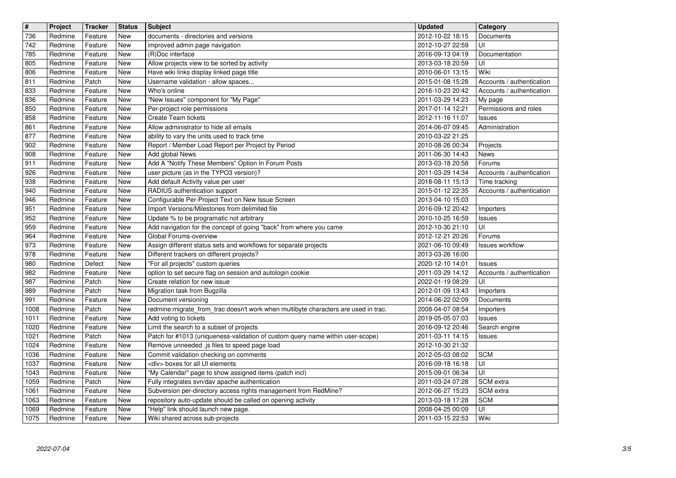| $\overline{\mathbf{H}}$ | Project            | <b>Tracker</b>     | <b>Status</b>                    | <b>Subject</b>                                                                                           | <b>Updated</b>                       | Category                            |
|-------------------------|--------------------|--------------------|----------------------------------|----------------------------------------------------------------------------------------------------------|--------------------------------------|-------------------------------------|
| 736                     | Redmine            | Feature            | New                              | documents - directories and versions                                                                     | 2012-10-22 18:15                     | Documents                           |
| 742<br>785              | Redmine<br>Redmine | Feature<br>Feature | New<br>New                       | improved admin page navigation<br>(R)Doc interface                                                       | 2012-10-27 22:59<br>2016-09-13 04:19 | UI<br>Documentation                 |
| 805                     | Redmine            | Feature            | New                              | Allow projects view to be sorted by activity                                                             | 2013-03-18 20:59                     | UI                                  |
| 806                     | Redmine            | Feature            | New                              | Have wiki links display linked page title                                                                | 2010-06-01 13:15                     | Wiki                                |
| 811                     | Redmine            | Patch              | New                              | Username validation - allow spaces                                                                       | 2015-01-08 15:28                     | Accounts / authentication           |
| 833                     | Redmine            | Feature            | New                              | Who's online                                                                                             | 2016-10-23 20:42                     | Accounts / authentication           |
| 836                     | Redmine            | Feature            | New                              | "New Issues" component for "My Page"                                                                     | 2011-03-29 14:23                     | My page                             |
| 850<br>858              | Redmine<br>Redmine | Feature<br>Feature | New<br>New                       | Per-project role permissions<br>Create Team tickets                                                      | 2017-01-14 12:21<br>2012-11-16 11:07 | Permissions and roles<br>Issues     |
| 861                     | Redmine            | Feature            | New                              | Allow administrator to hide all emails                                                                   | 2014-06-07 09:45                     | Administration                      |
| 877                     | Redmine            | Feature            | New                              | ability to vary the units used to track time                                                             | 2010-03-22 21:25                     |                                     |
| 902                     | Redmine            | Feature            | New                              | Report / Member Load Report per Project by Period                                                        | 2010-08-26 00:34                     | Projects                            |
| 908                     | Redmine            | Feature            | New                              | Add global News                                                                                          | 2011-06-30 14:43                     | News                                |
| 911<br>926              | Redmine<br>Redmine | Feature<br>Feature | New<br>New                       | Add A "Notify These Members" Option In Forum Posts<br>user picture (as in the TYPO3 version)?            | 2013-03-18 20:58<br>2011-03-29 14:34 | Forums<br>Accounts / authentication |
| 938                     | Redmine            | Feature            | New                              | Add default Activity value per user                                                                      | 2018-08-11 15:13                     | Time tracking                       |
| 940                     | Redmine            | Feature            | New                              | RADIUS authentication support                                                                            | 2015-01-12 22:35                     | Accounts / authentication           |
| 946                     | Redmine            | Feature            | New                              | Configurable Per-Project Text on New Issue Screen                                                        | 2013-04-10 15:03                     |                                     |
| 951<br>952              | Redmine<br>Redmine | Feature<br>Feature | New<br>New                       | Import Versions/Milestones from delimited file<br>Update % to be programatic not arbitrary               | 2016-09-12 20:42<br>2010-10-25 16:59 | Importers                           |
| 959                     | Redmine            | Feature            | New                              | Add navigation for the concept of going "back" from where you came                                       | 2012-10-30 21:10                     | Issues<br>UI                        |
| 964                     | Redmine            | Feature            | New                              | Global Forums-overview                                                                                   | 2012-12-21 20:26                     | Forums                              |
| 973                     | Redmine            | Feature            | New                              | Assign different status sets and workflows for separate projects                                         | 2021-06-10 09:49                     | <b>Issues workflow</b>              |
| 978                     | Redmine            | Feature            | New                              | Different trackers on different projects?                                                                | 2013-03-26 16:00                     |                                     |
| 980<br>982              | Redmine<br>Redmine | Defect<br>Feature  | New<br>New                       | "For all projects" custom queries<br>option to set secure flag on session and autologin cookie           | 2020-12-10 14:01<br>2011-03-29 14:12 | Issues<br>Accounts / authentication |
| 987                     | Redmine            | Patch              | New                              | Create relation for new issue                                                                            | 2022-01-19 08:29                     | UI                                  |
| 989                     | Redmine            | Patch              | New                              | Migration task from Bugzilla                                                                             | 2012-01-09 13:43                     | Importers                           |
| 991                     | Redmine            | Feature            | New                              | Document versioning                                                                                      | 2014-06-22 02:09                     | Documents                           |
| 1008                    | Redmine            | Patch              | New                              | redmine:migrate_from_trac doesn't work when multibyte characters are used in trac.                       | 2008-04-07 08:54                     | Importers                           |
| 1011<br>1020            | Redmine<br>Redmine | Feature<br>Feature | New<br>New                       | Add voting to tickets<br>Limit the search to a subset of projects                                        | 2019-05-05 07:03<br>2016-09-12 20:46 | Issues<br>Search engine             |
| 1021                    | Redmine            | Patch              | New                              | Patch for #1013 (uniqueness-validation of custom query name within user-scope)                           | 2011-03-11 14:15                     | Issues                              |
| 1024                    | Redmine            | Feature            | New                              | Remove unneeded .js files to speed page load                                                             | 2012-10-30 21:32                     |                                     |
| 1036                    | Redmine            | Feature            | New                              | Commit validation checking on comments                                                                   | 2012-05-03 08:02                     | <b>SCM</b>                          |
| 1037                    | Redmine            | Feature            | New                              | <div> boxes for all UI elements</div>                                                                    | 2016-09-18 16:18                     | UI                                  |
| 1043<br>1059            | Redmine<br>Redmine | Feature<br>Patch   | New<br>$\overline{\mathsf{New}}$ | "My Calendar" page to show assigned items (patch incl)<br>Fully integrates svn/dav apache authentication | 2015-09-01 06:34<br>2011-03-24 07:28 | UI<br>SCM extra                     |
| 1061                    | Redmine            | Feature            | New                              | Subversion per-directory access rights management from RedMine?                                          | 2012-06-27 15:23                     | SCM extra                           |
| 1063                    | Redmine            | Feature            | New                              | repository auto-update should be called on opening activity                                              | 2013-03-18 17:28                     | <b>SCM</b>                          |
| 1069                    | Redmine            | Feature            | New                              | "Help" link should launch new page.                                                                      | 2008-04-25 00:09                     | UI                                  |
| 1075                    | Redmine            | Feature            | New                              | Wiki shared across sub-projects                                                                          | 2011-03-15 22:53                     | Wiki                                |
|                         |                    |                    |                                  |                                                                                                          |                                      |                                     |
|                         |                    |                    |                                  |                                                                                                          |                                      |                                     |
|                         |                    |                    |                                  |                                                                                                          |                                      |                                     |
|                         |                    |                    |                                  |                                                                                                          |                                      |                                     |
|                         |                    |                    |                                  |                                                                                                          |                                      |                                     |
|                         |                    |                    |                                  |                                                                                                          |                                      |                                     |
|                         |                    |                    |                                  |                                                                                                          |                                      |                                     |
|                         |                    |                    |                                  |                                                                                                          |                                      |                                     |
|                         |                    |                    |                                  |                                                                                                          |                                      |                                     |
|                         |                    |                    |                                  |                                                                                                          |                                      |                                     |
|                         |                    |                    |                                  |                                                                                                          |                                      |                                     |
|                         |                    |                    |                                  |                                                                                                          |                                      |                                     |
|                         |                    |                    |                                  |                                                                                                          |                                      |                                     |
|                         |                    |                    |                                  |                                                                                                          |                                      |                                     |
|                         |                    |                    |                                  |                                                                                                          |                                      |                                     |
|                         |                    |                    |                                  |                                                                                                          |                                      |                                     |
|                         |                    |                    |                                  |                                                                                                          |                                      |                                     |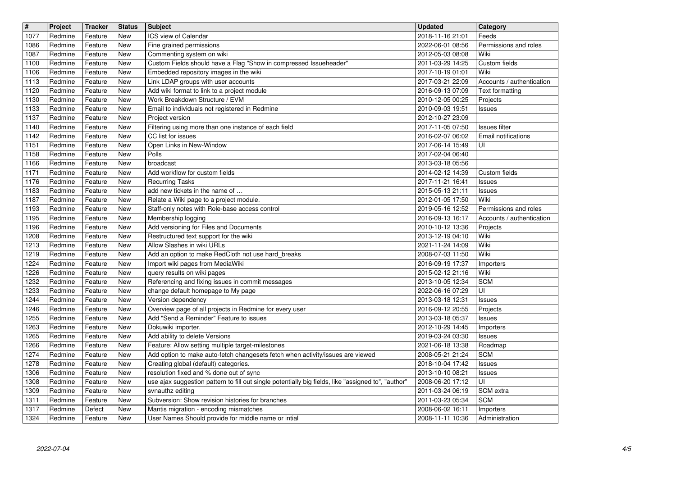| $\overline{\mathbf{H}}$ | Project            | <b>Tracker</b>     | <b>Status</b> | <b>Subject</b>                                                                                                          | Updated                              | Category                                           |
|-------------------------|--------------------|--------------------|---------------|-------------------------------------------------------------------------------------------------------------------------|--------------------------------------|----------------------------------------------------|
| 1077<br>1086            | Redmine<br>Redmine | Feature<br>Feature | New<br>New    | ICS view of Calendar<br>Fine grained permissions                                                                        | 2018-11-16 21:01<br>2022-06-01 08:56 | Feeds<br>Permissions and roles                     |
| 1087                    | Redmine            | Feature            | New           | Commenting system on wiki                                                                                               | 2012-05-03 08:08                     | Wiki                                               |
| 1100<br>1106            | Redmine<br>Redmine | Feature<br>Feature | New<br>New    | Custom Fields should have a Flag "Show in compressed Issueheader"<br>Embedded repository images in the wiki             | 2011-03-29 14:25<br>2017-10-19 01:01 | Custom fields<br>Wiki                              |
| 1113                    | Redmine            | Feature            | New           | Link LDAP groups with user accounts                                                                                     | 2017-03-21 22:09                     | Accounts / authentication                          |
| 1120<br>1130            | Redmine<br>Redmine | Feature<br>Feature | New<br>New    | Add wiki format to link to a project module<br>Work Breakdown Structure / EVM                                           | 2016-09-13 07:09<br>2010-12-05 00:25 | Text formatting<br>Projects                        |
| 1133                    | Redmine            | Feature            | New           | Email to individuals not registered in Redmine                                                                          | 2010-09-03 19:51                     | Issues                                             |
| 1137<br>1140            | Redmine<br>Redmine | Feature<br>Feature | New<br>New    | Project version<br>Filtering using more than one instance of each field                                                 | 2012-10-27 23:09<br>2017-11-05 07:50 | Issues filter                                      |
| 1142                    | Redmine            | Feature            | New           | CC list for issues                                                                                                      | 2016-02-07 06:02                     | Email notifications                                |
| 1151                    | Redmine            | Feature            | New           | Open Links in New-Window<br>Polls                                                                                       | 2017-06-14 15:49                     | UI                                                 |
| 1158<br>1166            | Redmine<br>Redmine | Feature<br>Feature | New<br>New    | broadcast                                                                                                               | 2017-02-04 06:40<br>2013-03-18 05:56 |                                                    |
| 1171                    | Redmine            | Feature            | New           | Add workflow for custom fields                                                                                          | 2014-02-12 14:39                     | Custom fields                                      |
| 1176<br>1183            | Redmine<br>Redmine | Feature<br>Feature | New<br>New    | <b>Recurring Tasks</b><br>add new tickets in the name of                                                                | 2017-11-21 16:41<br>2015-05-13 21:11 | Issues<br>Issues                                   |
| 1187                    | Redmine            | Feature            | New           | Relate a Wiki page to a project module.                                                                                 | 2012-01-05 17:50                     | Wiki                                               |
| 1193<br>1195            | Redmine<br>Redmine | Feature<br>Feature | New<br>New    | Staff-only notes with Role-base access control<br>Membership logging                                                    | 2019-05-16 12:52<br>2016-09-13 16:17 | Permissions and roles<br>Accounts / authentication |
| 1196                    | Redmine            | Feature            | New           | Add versioning for Files and Documents                                                                                  | 2010-10-12 13:36                     | Projects                                           |
| 1208<br>1213            | Redmine<br>Redmine | Feature<br>Feature | New<br>New    | Restructured text support for the wiki<br>Allow Slashes in wiki URLs                                                    | 2013-12-19 04:10<br>2021-11-24 14:09 | Wiki<br>Wiki                                       |
| 1219                    | Redmine            | Feature            | New           | Add an option to make RedCloth not use hard_breaks                                                                      | 2008-07-03 11:50                     | Wiki                                               |
| 1224<br>1226            | Redmine<br>Redmine | Feature<br>Feature | New<br>New    | Import wiki pages from MediaWiki<br>query results on wiki pages                                                         | 2016-09-19 17:37<br>2015-02-12 21:16 | Importers<br>Wiki                                  |
| 1232                    | Redmine            | Feature            | New           | Referencing and fixing issues in commit messages                                                                        | 2013-10-05 12:34                     | <b>SCM</b>                                         |
| 1233<br>1244            | Redmine<br>Redmine | Feature<br>Feature | New<br>New    | change default homepage to My page<br>Version dependency                                                                | 2022-06-16 07:29<br>2013-03-18 12:31 | $\overline{U}$<br><b>Issues</b>                    |
| 1246                    | Redmine            | Feature            | New           | Overview page of all projects in Redmine for every user                                                                 | 2016-09-12 20:55                     | Projects                                           |
| 1255                    | Redmine            | Feature            | New           | Add "Send a Reminder" Feature to issues                                                                                 | 2013-03-18 05:37                     | Issues                                             |
| 1263<br>1265            | Redmine<br>Redmine | Feature<br>Feature | New<br>New    | Dokuwiki importer.<br>Add ability to delete Versions                                                                    | 2012-10-29 14:45<br>2019-03-24 03:30 | Importers<br><b>Issues</b>                         |
| 1266                    | Redmine            | Feature            | New           | Feature: Allow setting multiple target-milestones                                                                       | 2021-06-18 13:38                     | Roadmap                                            |
| 1274<br>1278            | Redmine<br>Redmine | Feature<br>Feature | New<br>New    | Add option to make auto-fetch changesets fetch when activity/issues are viewed<br>Creating global (default) categories. | 2008-05-21 21:24<br>2018-10-04 17:42 | <b>SCM</b><br>Issues                               |
| 1306                    | Redmine            | Feature            | New           | resolution fixed and % done out of sync                                                                                 | 2013-10-10 08:21                     | <b>Issues</b>                                      |
| 1308<br>1309            | Redmine<br>Redmine | Feature<br>Feature | New<br>New    | use ajax suggestion pattern to fill out single potentially big fields, like "assigned to", "author"<br>svnauthz editing | 2008-06-20 17:12<br>2011-03-24 06:19 | $\overline{U}$<br>SCM extra                        |
| 1311                    | Redmine            | Feature            | New           | Subversion: Show revision histories for branches                                                                        | 2011-03-23 05:34                     | <b>SCM</b>                                         |
| 1317<br>1324            | Redmine<br>Redmine | Defect<br>Feature  | New<br>New    | Mantis migration - encoding mismatches<br>User Names Should provide for middle name or intial                           | 2008-06-02 16:11<br>2008-11-11 10:36 | Importers<br>Administration                        |
|                         |                    |                    |               |                                                                                                                         |                                      |                                                    |
|                         |                    |                    |               |                                                                                                                         |                                      |                                                    |
|                         |                    |                    |               |                                                                                                                         |                                      |                                                    |
|                         |                    |                    |               |                                                                                                                         |                                      |                                                    |
|                         |                    |                    |               |                                                                                                                         |                                      |                                                    |
|                         |                    |                    |               |                                                                                                                         |                                      |                                                    |
|                         |                    |                    |               |                                                                                                                         |                                      |                                                    |
|                         |                    |                    |               |                                                                                                                         |                                      |                                                    |
|                         |                    |                    |               |                                                                                                                         |                                      |                                                    |
|                         |                    |                    |               |                                                                                                                         |                                      |                                                    |
|                         |                    |                    |               |                                                                                                                         |                                      |                                                    |
|                         |                    |                    |               |                                                                                                                         |                                      |                                                    |
|                         |                    |                    |               |                                                                                                                         |                                      |                                                    |
|                         |                    |                    |               |                                                                                                                         |                                      |                                                    |
|                         |                    |                    |               |                                                                                                                         |                                      |                                                    |
|                         |                    |                    |               |                                                                                                                         |                                      |                                                    |
|                         |                    |                    |               |                                                                                                                         |                                      |                                                    |
|                         |                    |                    |               |                                                                                                                         |                                      |                                                    |
|                         |                    |                    |               |                                                                                                                         |                                      |                                                    |
|                         |                    |                    |               |                                                                                                                         |                                      |                                                    |
|                         |                    |                    |               |                                                                                                                         |                                      |                                                    |
|                         |                    |                    |               |                                                                                                                         |                                      |                                                    |
|                         |                    |                    |               |                                                                                                                         |                                      |                                                    |
|                         |                    |                    |               |                                                                                                                         |                                      |                                                    |
|                         |                    |                    |               |                                                                                                                         |                                      |                                                    |
|                         |                    |                    |               |                                                                                                                         |                                      |                                                    |
|                         |                    |                    |               |                                                                                                                         |                                      |                                                    |
|                         |                    |                    |               |                                                                                                                         |                                      |                                                    |
|                         |                    |                    |               |                                                                                                                         |                                      |                                                    |
|                         |                    |                    |               |                                                                                                                         |                                      |                                                    |
|                         |                    |                    |               |                                                                                                                         |                                      |                                                    |
|                         |                    |                    |               |                                                                                                                         |                                      |                                                    |
|                         |                    |                    |               |                                                                                                                         |                                      |                                                    |
|                         |                    |                    |               |                                                                                                                         |                                      |                                                    |
|                         |                    |                    |               |                                                                                                                         |                                      |                                                    |